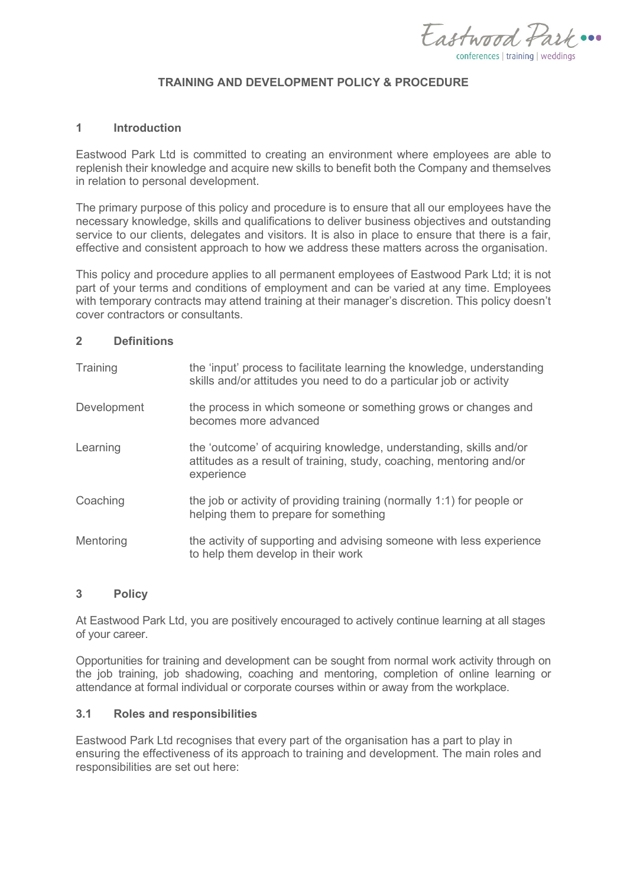Eastward Park ... conferences | training | weddings

### **TRAINING AND DEVELOPMENT POLICY & PROCEDURE**

### **1 Introduction**

Eastwood Park Ltd is committed to creating an environment where employees are able to replenish their knowledge and acquire new skills to benefit both the Company and themselves in relation to personal development.

The primary purpose of this policy and procedure is to ensure that all our employees have the necessary knowledge, skills and qualifications to deliver business objectives and outstanding service to our clients, delegates and visitors. It is also in place to ensure that there is a fair, effective and consistent approach to how we address these matters across the organisation.

This policy and procedure applies to all permanent employees of Eastwood Park Ltd; it is not part of your terms and conditions of employment and can be varied at any time. Employees with temporary contracts may attend training at their manager's discretion. This policy doesn't cover contractors or consultants.

#### **2 Definitions**

| Training           | the 'input' process to facilitate learning the knowledge, understanding<br>skills and/or attitudes you need to do a particular job or activity           |  |
|--------------------|----------------------------------------------------------------------------------------------------------------------------------------------------------|--|
| <b>Development</b> | the process in which someone or something grows or changes and<br>becomes more advanced                                                                  |  |
| Learning           | the 'outcome' of acquiring knowledge, understanding, skills and/or<br>attitudes as a result of training, study, coaching, mentoring and/or<br>experience |  |
| Coaching           | the job or activity of providing training (normally 1:1) for people or<br>helping them to prepare for something                                          |  |
| Mentoring          | the activity of supporting and advising someone with less experience<br>to help them develop in their work                                               |  |

### **3 Policy**

At Eastwood Park Ltd, you are positively encouraged to actively continue learning at all stages of your career.

Opportunities for training and development can be sought from normal work activity through on the job training, job shadowing, coaching and mentoring, completion of online learning or attendance at formal individual or corporate courses within or away from the workplace.

### **3.1 Roles and responsibilities**

Eastwood Park Ltd recognises that every part of the organisation has a part to play in ensuring the effectiveness of its approach to training and development. The main roles and responsibilities are set out here: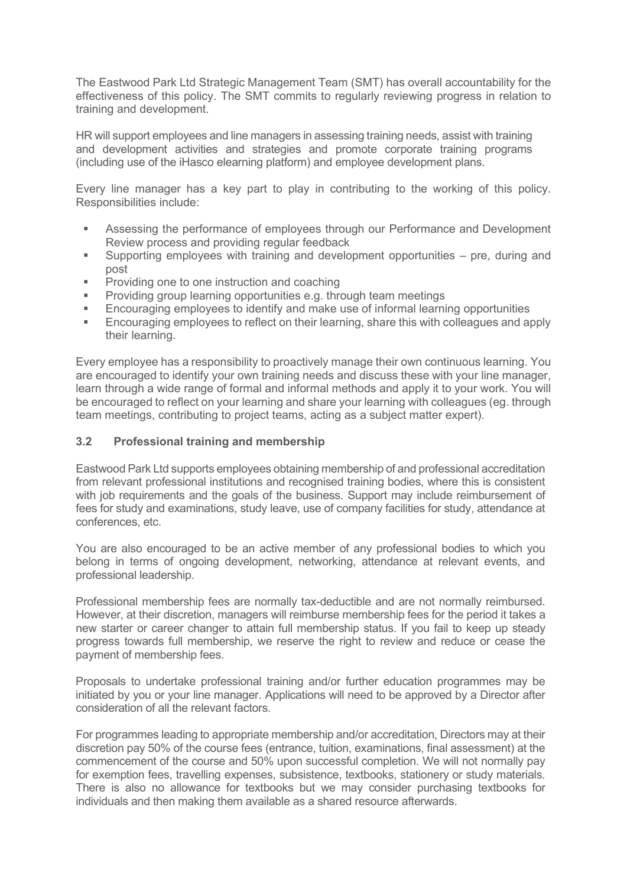The Eastwood Park Ltd Strategic Management Team (SMT) has overall accountability for the effectiveness of this policy. The SMT commits to regularly reviewing progress in relation to training and development.

HR will support employees and line managers in assessing training needs, assist with training and development activities and strategies and promote corporate training programs (including use of the iHasco elearning platform) and employee development plans.

Every line manager has a key part to play in contributing to the working of this policy. Responsibilities include:

- Assessing the performance of employees through our Performance and Development Review process and providing regular feedback
- Supporting employees with training and development opportunities pre, during and post
- **Providing one to one instruction and coaching**
- Providing group learning opportunities e.g. through team meetings
- Encouraging employees to identify and make use of informal learning opportunities
- Encouraging employees to reflect on their learning, share this with colleagues and apply their learning.

Every employee has a responsibility to proactively manage their own continuous learning. You are encouraged to identify your own training needs and discuss these with your line manager, learn through a wide range of formal and informal methods and apply it to your work. You will be encouraged to reflect on your learning and share your learning with colleagues (eg. through team meetings, contributing to project teams, acting as a subject matter expert).

## **3.2 Professional training and membership**

Eastwood Park Ltd supports employees obtaining membership of and professional accreditation from relevant professional institutions and recognised training bodies, where this is consistent with job requirements and the goals of the business. Support may include reimbursement of fees for study and examinations, study leave, use of company facilities for study, attendance at conferences, etc.

You are also encouraged to be an active member of any professional bodies to which you belong in terms of ongoing development, networking, attendance at relevant events, and professional leadership.

Professional membership fees are normally tax-deductible and are not normally reimbursed. However, at their discretion, managers will reimburse membership fees for the period it takes a new starter or career changer to attain full membership status. If you fail to keep up steady progress towards full membership, we reserve the right to review and reduce or cease the payment of membership fees.

Proposals to undertake professional training and/or further education programmes may be initiated by you or your line manager. Applications will need to be approved by a Director after consideration of all the relevant factors.

For programmes leading to appropriate membership and/or accreditation, Directors may at their discretion pay 50% of the course fees (entrance, tuition, examinations, final assessment) at the commencement of the course and 50% upon successful completion. We will not normally pay for exemption fees, travelling expenses, subsistence, textbooks, stationery or study materials. There is also no allowance for textbooks but we may consider purchasing textbooks for individuals and then making them available as a shared resource afterwards.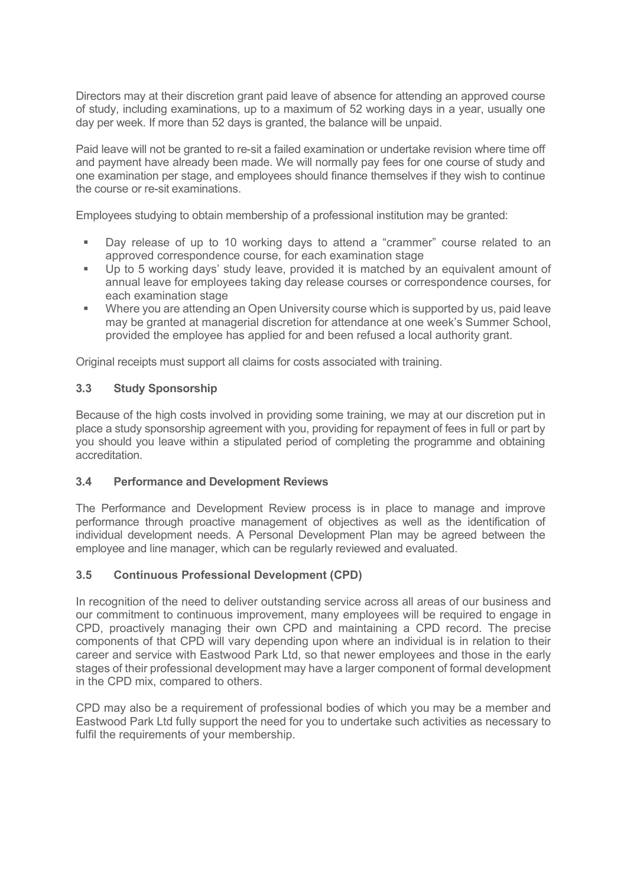Directors may at their discretion grant paid leave of absence for attending an approved course of study, including examinations, up to a maximum of 52 working days in a year, usually one day per week. If more than 52 days is granted, the balance will be unpaid.

Paid leave will not be granted to re-sit a failed examination or undertake revision where time off and payment have already been made. We will normally pay fees for one course of study and one examination per stage, and employees should finance themselves if they wish to continue the course or re-sit examinations.

Employees studying to obtain membership of a professional institution may be granted:

- Day release of up to 10 working days to attend a "crammer" course related to an approved correspondence course, for each examination stage
- Up to 5 working days' study leave, provided it is matched by an equivalent amount of annual leave for employees taking day release courses or correspondence courses, for each examination stage
- **Where you are attending an Open University course which is supported by us, paid leave** may be granted at managerial discretion for attendance at one week's Summer School, provided the employee has applied for and been refused a local authority grant.

Original receipts must support all claims for costs associated with training.

# **3.3 Study Sponsorship**

Because of the high costs involved in providing some training, we may at our discretion put in place a study sponsorship agreement with you, providing for repayment of fees in full or part by you should you leave within a stipulated period of completing the programme and obtaining accreditation.

#### **3.4 Performance and Development Reviews**

The Performance and Development Review process is in place to manage and improve performance through proactive management of objectives as well as the identification of individual development needs. A Personal Development Plan may be agreed between the employee and line manager, which can be regularly reviewed and evaluated.

## **3.5 Continuous Professional Development (CPD)**

In recognition of the need to deliver outstanding service across all areas of our business and our commitment to continuous improvement, many employees will be required to engage in CPD, proactively managing their own CPD and maintaining a CPD record. The precise components of that CPD will vary depending upon where an individual is in relation to their career and service with Eastwood Park Ltd, so that newer employees and those in the early stages of their professional development may have a larger component of formal development in the CPD mix, compared to others.

CPD may also be a requirement of professional bodies of which you may be a member and Eastwood Park Ltd fully support the need for you to undertake such activities as necessary to fulfil the requirements of your membership.